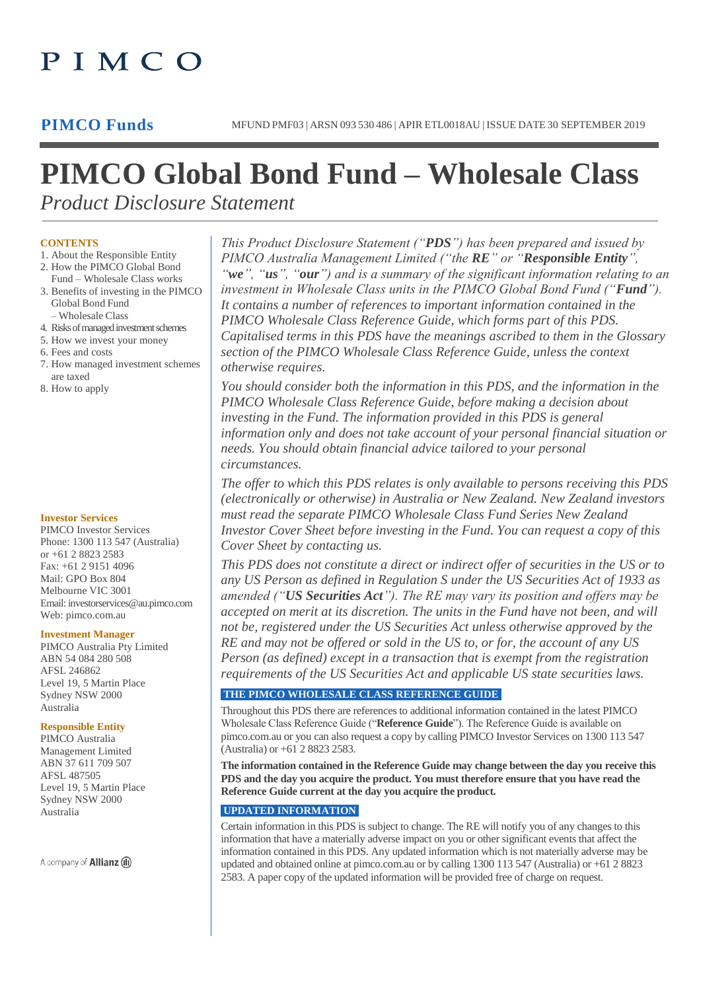## PIMCO

# **PIMCO Global Bond Fund – Wholesale Class**

*Product Disclosure Statement*

## **CONTENTS**

- 1. About the Responsible Entity
- 2. How the PIMCO Global Bond Fund – Wholesale Class works
- 3. Benefits of investing in the PIMCO Global Bond Fund – Wholesale Class
- 4. Risks of managed investment schemes
- 5. How we invest your money
- 6. Fees and costs
- 7. How managed investment schemes are taxed
- 8. How to apply

## **Investor Services**

PIMCO Investor Services Phone: 1300 113 547 (Australia) or +61 2 8823 2583 Fax: +61 2 9151 4096 Mail: GPO Box 804 Melbourne VIC 3001 Ema[il: investorservices@au.pimco.com](mailto:investorservices@au.pimco.com) Web: pimco.com.au

## **Investment Manager**

PIMCO Australia Pty Limited ABN 54 084 280 508 AFSL 246862 Level 19, 5 Martin Place Sydney NSW 2000 Australia

## **Responsible Entity**

PIMCO Australia Management Limited ABN 37 611 709 507 AFSL 487505 Level 19, 5 Martin Place Sydney NSW 2000 Australia

A company of **Allianz** (ii)

*This Product Disclosure Statement ("PDS") has been prepared and issued by PIMCO Australia Management Limited ("the RE" or "Responsible Entity", "we", "us", "our") and is a summary of the significant information relating to an investment in Wholesale Class units in the PIMCO Global Bond Fund ("Fund"). It contains a number of references to important information contained in the PIMCO Wholesale Class Reference Guide, which forms part of this PDS. Capitalised terms in this PDS have the meanings ascribed to them in the Glossary section of the PIMCO Wholesale Class Reference Guide, unless the context otherwise requires.*

*You should consider both the information in this PDS, and the information in the PIMCO Wholesale Class Reference Guide, before making a decision about investing in the Fund. The information provided in this PDS is general information only and does not take account of your personal financial situation or needs. You should obtain financial advice tailored to your personal circumstances.*

*The offer to which this PDS relates is only available to persons receiving this PDS (electronically or otherwise) in Australia or New Zealand. New Zealand investors must read the separate PIMCO Wholesale Class Fund Series New Zealand Investor Cover Sheet before investing in the Fund. You can request a copy of this Cover Sheet by contacting us.*

*This PDS does not constitute a direct or indirect offer of securities in the US or to any US Person as defined in Regulation S under the US Securities Act of 1933 as amended ("US Securities Act"). The RE may vary its position and offers may be accepted on merit at its discretion. The units in the Fund have not been, and will not be, registered under the US Securities Act unless otherwise approved by the RE and may not be offered or sold in the US to, or for, the account of any US Person (as defined) except in a transaction that is exempt from the registration requirements of the US Securities Act and applicable US state securities laws.*

## **THE PIMCO WHOLESALE CLASS REFERENCE GUIDE**

Throughout this PDS there are references to additional information contained in the latest PIMCO Wholesale Class Reference Guide ("**Reference Guide**"). The Reference Guide is available on [pimco.com.au o](http://pimco.com.au/)r you can also request a copy by calling PIMCO Investor Services on 1300 113 547 (Australia) or +61 2 8823 2583.

**The information contained in the Reference Guide may change between the day you receive this PDS and the day you acquire the product. You must therefore ensure that you have read the Reference Guide current at the day you acquire the product.**

## **UPDATED INFORMATION**

Certain information in this PDS is subject to change. The RE will notify you of any changes to this information that have a materially adverse impact on you or other significant events that affect the information contained in this PDS. Any updated information which is not materially adverse may be updated and obtained online at pimco.com.au or by calling 1300 113 547 (Australia) or +61 2 8823 2583. A paper copy of the updated information will be provided free of charge on request.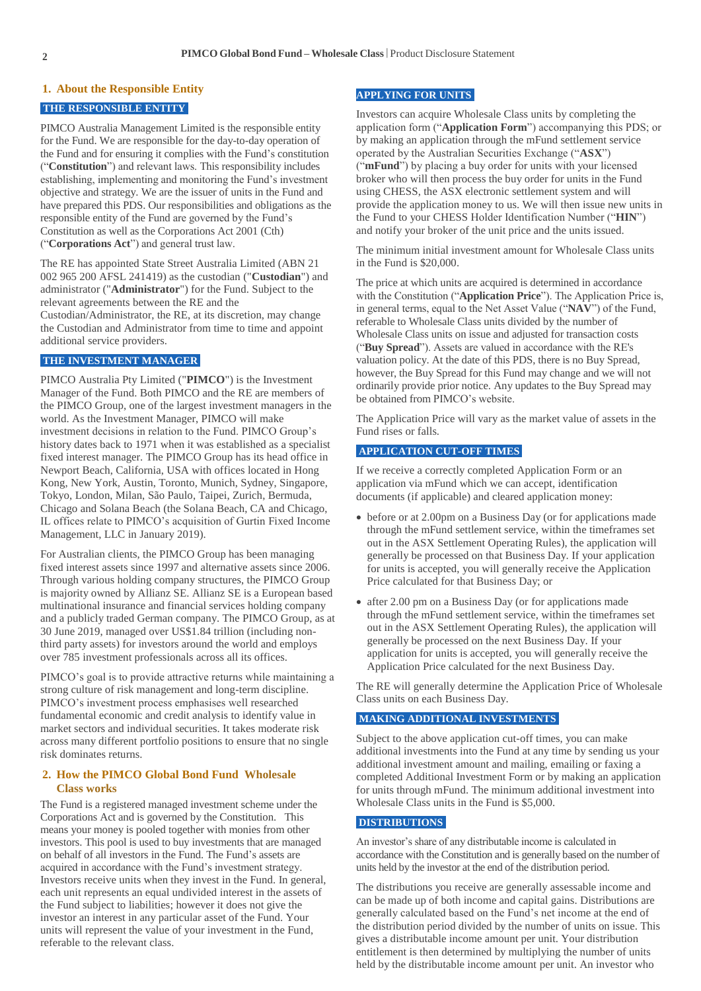#### **1. About the Responsible Entity**

## **THE RESPONSIBLE ENTITY**

PIMCO Australia Management Limited is the responsible entity for the Fund. We are responsible for the day-to-day operation of the Fund and for ensuring it complies with the Fund's constitution ("**Constitution**") and relevant laws. This responsibility includes establishing, implementing and monitoring the Fund's investment objective and strategy. We are the issuer of units in the Fund and have prepared this PDS. Our responsibilities and obligations as the responsible entity of the Fund are governed by the Fund's Constitution as well as the Corporations Act 2001 (Cth) ("**Corporations Act**") and general trust law.

The RE has appointed State Street Australia Limited (ABN 21 002 965 200 AFSL 241419) as the custodian ("**Custodian**") and administrator ("**Administrator**") for the Fund. Subject to the relevant agreements between the RE and the

Custodian/Administrator, the RE, at its discretion, may change the Custodian and Administrator from time to time and appoint additional service providers.

## **THE INVESTMENT MANAGER**

PIMCO Australia Pty Limited ("**PIMCO**") is the Investment Manager of the Fund. Both PIMCO and the RE are members of the PIMCO Group, one of the largest investment managers in the world. As the Investment Manager, PIMCO will make investment decisions in relation to the Fund. PIMCO Group's history dates back to 1971 when it was established as a specialist fixed interest manager. The PIMCO Group has its head office in Newport Beach, California, USA with offices located in Hong Kong, New York, Austin, Toronto, Munich, Sydney, Singapore, Tokyo, London, Milan, São Paulo, Taipei, Zurich, Bermuda, Chicago and Solana Beach (the Solana Beach, CA and Chicago, IL offices relate to PIMCO's acquisition of Gurtin Fixed Income Management, LLC in January 2019).

For Australian clients, the PIMCO Group has been managing fixed interest assets since 1997 and alternative assets since 2006. Through various holding company structures, the PIMCO Group is majority owned by Allianz SE. Allianz SE is a European based multinational insurance and financial services holding company and a publicly traded German company. The PIMCO Group, as at 30 June 2019, managed over US\$1.84 trillion (including nonthird party assets) for investors around the world and employs over 785 investment professionals across all its offices.

PIMCO's goal is to provide attractive returns while maintaining a strong culture of risk management and long-term discipline. PIMCO's investment process emphasises well researched fundamental economic and credit analysis to identify value in market sectors and individual securities. It takes moderate risk across many different portfolio positions to ensure that no single risk dominates returns.

## **2. How the PIMCO Global Bond Fund Wholesale Class works**

The Fund is a registered managed investment scheme under the Corporations Act and is governed by the Constitution. This means your money is pooled together with monies from other investors. This pool is used to buy investments that are managed on behalf of all investors in the Fund. The Fund's assets are acquired in accordance with the Fund's investment strategy. Investors receive units when they invest in the Fund. In general, each unit represents an equal undivided interest in the assets of the Fund subject to liabilities; however it does not give the investor an interest in any particular asset of the Fund. Your units will represent the value of your investment in the Fund, referable to the relevant class.

#### **APPLYING FOR UNITS**

Investors can acquire Wholesale Class units by completing the application form ("**Application Form**") accompanying this PDS; or by making an application through the mFund settlement service operated by the Australian Securities Exchange ("**ASX**") ("**mFund**") by placing a buy order for units with your licensed broker who will then process the buy order for units in the Fund using CHESS, the ASX electronic settlement system and will provide the application money to us. We will then issue new units in the Fund to your CHESS Holder Identification Number ("**HIN**") and notify your broker of the unit price and the units issued.

The minimum initial investment amount for Wholesale Class units in the Fund is \$20,000.

The price at which units are acquired is determined in accordance with the Constitution ("**Application Price**"). The Application Price is, in general terms, equal to the Net Asset Value ("**NAV**") of the Fund, referable to Wholesale Class units divided by the number of Wholesale Class units on issue and adjusted for transaction costs ("**Buy Spread**"). Assets are valued in accordance with the RE's valuation policy. At the date of this PDS, there is no Buy Spread, however, the Buy Spread for this Fund may change and we will not ordinarily provide prior notice. Any updates to the Buy Spread may be obtained from PIMCO's website.

The Application Price will vary as the market value of assets in the Fund rises or falls.

## **APPLICATION CUT-OFF TIMES**

If we receive a correctly completed Application Form or an application via mFund which we can accept, identification documents (if applicable) and cleared application money:

- before or at 2.00pm on a Business Day (or for applications made through the mFund settlement service, within the timeframes set out in the ASX Settlement Operating Rules), the application will generally be processed on that Business Day. If your application for units is accepted, you will generally receive the Application Price calculated for that Business Day; or
- after 2.00 pm on a Business Day (or for applications made through the mFund settlement service, within the timeframes set out in the ASX Settlement Operating Rules), the application will generally be processed on the next Business Day. If your application for units is accepted, you will generally receive the Application Price calculated for the next Business Day.

The RE will generally determine the Application Price of Wholesale Class units on each Business Day.

## **MAKING ADDITIONAL INVESTMENTS**

Subject to the above application cut-off times, you can make additional investments into the Fund at any time by sending us your additional investment amount and mailing, emailing or faxing a completed Additional Investment Form or by making an application for units through mFund. The minimum additional investment into Wholesale Class units in the Fund is \$5,000.

#### **DISTRIBUTIONS**

An investor's share of any distributable income is calculated in accordance with the Constitution and is generally based on the number of units held by the investor at the end of the distribution period.

The distributions you receive are generally assessable income and can be made up of both income and capital gains. Distributions are generally calculated based on the Fund's net income at the end of the distribution period divided by the number of units on issue. This gives a distributable income amount per unit. Your distribution entitlement is then determined by multiplying the number of units held by the distributable income amount per unit. An investor who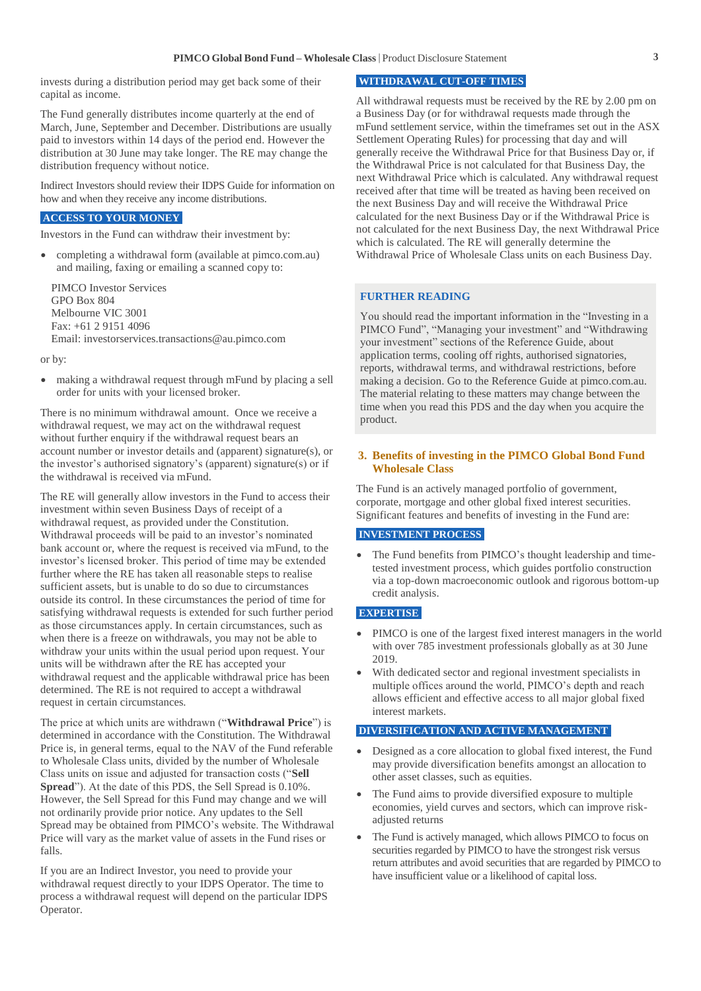invests during a distribution period may get back some of their capital as income.

The Fund generally distributes income quarterly at the end of March, June, September and December. Distributions are usually paid to investors within 14 days of the period end. However the distribution at 30 June may take longer. The RE may change the distribution frequency without notice.

Indirect Investors should review their IDPS Guide for information on how and when they receive any income distributions.

## **ACCESS TO YOUR MONEY**

Investors in the Fund can withdraw their investment by:

 completing a withdrawal form (available at pimco.com.au) and mailing, faxing or emailing a scanned copy to:

PIMCO Investor Services GPO Box 804 Melbourne VIC 3001 Fax: +61 2 9151 4096 Email: [investorservices.transactions@au.pimco.com](mailto:investorservices.transactions@au.pimco.com)

or by:

 making a withdrawal request through mFund by placing a sell order for units with your licensed broker.

There is no minimum withdrawal amount. Once we receive a withdrawal request, we may act on the withdrawal request without further enquiry if the withdrawal request bears an account number or investor details and (apparent) signature(s), or the investor's authorised signatory's (apparent) signature(s) or if the withdrawal is received via mFund.

The RE will generally allow investors in the Fund to access their investment within seven Business Days of receipt of a withdrawal request, as provided under the Constitution. Withdrawal proceeds will be paid to an investor's nominated bank account or, where the request is received via mFund, to the investor's licensed broker. This period of time may be extended further where the RE has taken all reasonable steps to realise sufficient assets, but is unable to do so due to circumstances outside its control. In these circumstances the period of time for satisfying withdrawal requests is extended for such further period as those circumstances apply. In certain circumstances, such as when there is a freeze on withdrawals, you may not be able to withdraw your units within the usual period upon request. Your units will be withdrawn after the RE has accepted your withdrawal request and the applicable withdrawal price has been determined. The RE is not required to accept a withdrawal request in certain circumstances.

The price at which units are withdrawn ("**Withdrawal Price**") is determined in accordance with the Constitution. The Withdrawal Price is, in general terms, equal to the NAV of the Fund referable to Wholesale Class units, divided by the number of Wholesale Class units on issue and adjusted for transaction costs ("**Sell Spread**"). At the date of this PDS, the Sell Spread is 0.10%. However, the Sell Spread for this Fund may change and we will not ordinarily provide prior notice. Any updates to the Sell Spread may be obtained from PIMCO's website. The Withdrawal Price will vary as the market value of assets in the Fund rises or falls.

If you are an Indirect Investor, you need to provide your withdrawal request directly to your IDPS Operator. The time to process a withdrawal request will depend on the particular IDPS Operator.

#### **WITHDRAWAL CUT-OFF TIMES**

All withdrawal requests must be received by the RE by 2.00 pm on a Business Day (or for withdrawal requests made through the mFund settlement service, within the timeframes set out in the ASX Settlement Operating Rules) for processing that day and will generally receive the Withdrawal Price for that Business Day or, if the Withdrawal Price is not calculated for that Business Day, the next Withdrawal Price which is calculated. Any withdrawal request received after that time will be treated as having been received on the next Business Day and will receive the Withdrawal Price calculated for the next Business Day or if the Withdrawal Price is not calculated for the next Business Day, the next Withdrawal Price which is calculated. The RE will generally determine the Withdrawal Price of Wholesale Class units on each Business Day.

#### **FURTHER READING**

You should read the important information in the "Investing in a PIMCO Fund", "Managing your investment" and "Withdrawing your investment" sections of the Reference Guide, about application terms, cooling off rights, authorised signatories, reports, withdrawal terms, and withdrawal restrictions, before making a decision. Go to the Reference Guide at [pimco.com.au.](http://pimco.com.au/) The material relating to these matters may change between the time when you read this PDS and the day when you acquire the product.

## **3. Benefits of investing in the PIMCO Global Bond Fund Wholesale Class**

The Fund is an actively managed portfolio of government, corporate, mortgage and other global fixed interest securities. Significant features and benefits of investing in the Fund are:

#### **INVESTMENT PROCESS**

 The Fund benefits from PIMCO's thought leadership and timetested investment process, which guides portfolio construction via a top-down macroeconomic outlook and rigorous bottom-up credit analysis.

### **EXPERTISE**

- PIMCO is one of the largest fixed interest managers in the world with over 785 investment professionals globally as at 30 June 2019.
- With dedicated sector and regional investment specialists in multiple offices around the world, PIMCO's depth and reach allows efficient and effective access to all major global fixed interest markets.

#### **DIVERSIFICATION AND ACTIVE MANAGEMENT**

- Designed as a core allocation to global fixed interest, the Fund may provide diversification benefits amongst an allocation to other asset classes, such as equities.
- The Fund aims to provide diversified exposure to multiple economies, yield curves and sectors, which can improve riskadjusted returns
- The Fund is actively managed, which allows PIMCO to focus on securities regarded by PIMCO to have the strongest risk versus return attributes and avoid securities that are regarded by PIMCO to have insufficient value or a likelihood of capital loss.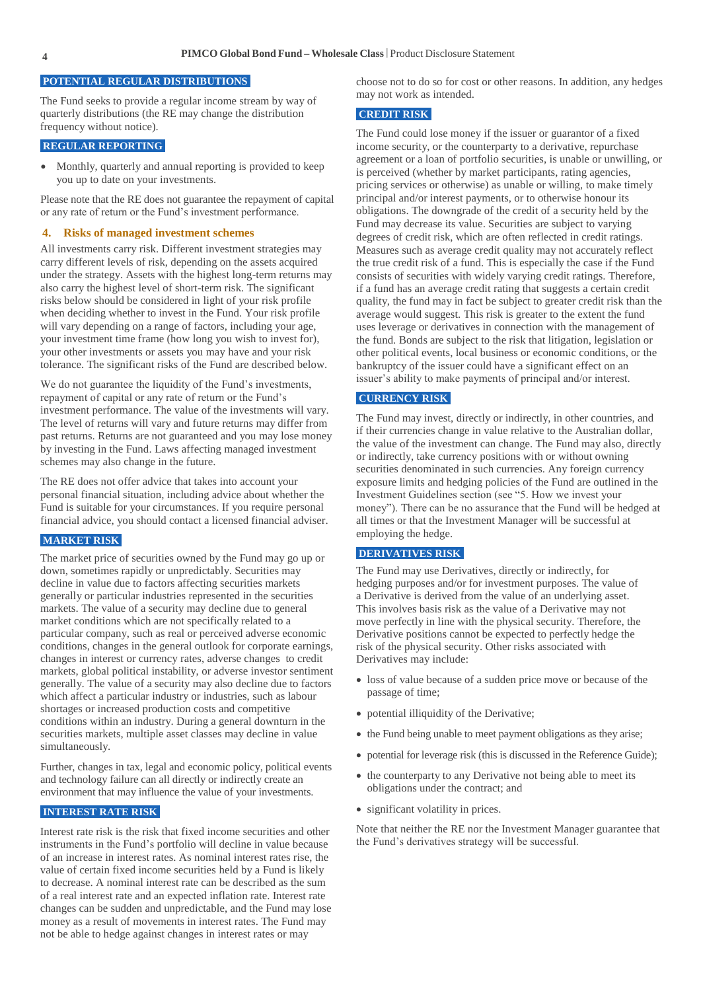#### **POTENTIAL REGULAR DISTRIBUTIONS**

The Fund seeks to provide a regular income stream by way of quarterly distributions (the RE may change the distribution frequency without notice).

#### **REGULAR REPORTING**

• Monthly, quarterly and annual reporting is provided to keep you up to date on your investments.

Please note that the RE does not guarantee the repayment of capital or any rate of return or the Fund's investment performance.

#### **4. Risks of managed investment schemes**

All investments carry risk. Different investment strategies may carry different levels of risk, depending on the assets acquired under the strategy. Assets with the highest long-term returns may also carry the highest level of short-term risk. The significant risks below should be considered in light of your risk profile when deciding whether to invest in the Fund. Your risk profile will vary depending on a range of factors, including your age, your investment time frame (how long you wish to invest for), your other investments or assets you may have and your risk tolerance. The significant risks of the Fund are described below.

We do not guarantee the liquidity of the Fund's investments, repayment of capital or any rate of return or the Fund's investment performance. The value of the investments will vary. The level of returns will vary and future returns may differ from past returns. Returns are not guaranteed and you may lose money by investing in the Fund. Laws affecting managed investment schemes may also change in the future.

The RE does not offer advice that takes into account your personal financial situation, including advice about whether the Fund is suitable for your circumstances. If you require personal financial advice, you should contact a licensed financial adviser.

## **MARKET RISK**

The market price of securities owned by the Fund may go up or down, sometimes rapidly or unpredictably. Securities may decline in value due to factors affecting securities markets generally or particular industries represented in the securities markets. The value of a security may decline due to general market conditions which are not specifically related to a particular company, such as real or perceived adverse economic conditions, changes in the general outlook for corporate earnings, changes in interest or currency rates, adverse changes to credit markets, global political instability, or adverse investor sentiment generally. The value of a security may also decline due to factors which affect a particular industry or industries, such as labour shortages or increased production costs and competitive conditions within an industry. During a general downturn in the securities markets, multiple asset classes may decline in value simultaneously.

Further, changes in tax, legal and economic policy, political events and technology failure can all directly or indirectly create an environment that may influence the value of your investments.

## **INTEREST RATE RISK**

Interest rate risk is the risk that fixed income securities and other instruments in the Fund's portfolio will decline in value because of an increase in interest rates. As nominal interest rates rise, the value of certain fixed income securities held by a Fund is likely to decrease. A nominal interest rate can be described as the sum of a real interest rate and an expected inflation rate. Interest rate changes can be sudden and unpredictable, and the Fund may lose money as a result of movements in interest rates. The Fund may not be able to hedge against changes in interest rates or may

choose not to do so for cost or other reasons. In addition, any hedges may not work as intended.

## **CREDIT RISK**

The Fund could lose money if the issuer or guarantor of a fixed income security, or the counterparty to a derivative, repurchase agreement or a loan of portfolio securities, is unable or unwilling, or is perceived (whether by market participants, rating agencies, pricing services or otherwise) as unable or willing, to make timely principal and/or interest payments, or to otherwise honour its obligations. The downgrade of the credit of a security held by the Fund may decrease its value. Securities are subject to varying degrees of credit risk, which are often reflected in credit ratings. Measures such as average credit quality may not accurately reflect the true credit risk of a fund. This is especially the case if the Fund consists of securities with widely varying credit ratings. Therefore, if a fund has an average credit rating that suggests a certain credit quality, the fund may in fact be subject to greater credit risk than the average would suggest. This risk is greater to the extent the fund uses leverage or derivatives in connection with the management of the fund. Bonds are subject to the risk that litigation, legislation or other political events, local business or economic conditions, or the bankruptcy of the issuer could have a significant effect on an issuer's ability to make payments of principal and/or interest.

## **CURRENCY RISK**

The Fund may invest, directly or indirectly, in other countries, and if their currencies change in value relative to the Australian dollar, the value of the investment can change. The Fund may also, directly or indirectly, take currency positions with or without owning securities denominated in such currencies. Any foreign currency exposure limits and hedging policies of the Fund are outlined in the Investment Guidelines section (see "5. How we invest your money"). There can be no assurance that the Fund will be hedged at all times or that the Investment Manager will be successful at employing the hedge.

## **DERIVATIVES RISK**

The Fund may use Derivatives, directly or indirectly, for hedging purposes and/or for investment purposes. The value of a Derivative is derived from the value of an underlying asset. This involves basis risk as the value of a Derivative may not move perfectly in line with the physical security. Therefore, the Derivative positions cannot be expected to perfectly hedge the risk of the physical security. Other risks associated with Derivatives may include:

- loss of value because of a sudden price move or because of the passage of time;
- potential illiquidity of the Derivative;
- the Fund being unable to meet payment obligations as they arise;
- potential for leverage risk (this is discussed in the Reference Guide);
- the counterparty to any Derivative not being able to meet its obligations under the contract; and
- significant volatility in prices.

Note that neither the RE nor the Investment Manager guarantee that the Fund's derivatives strategy will be successful.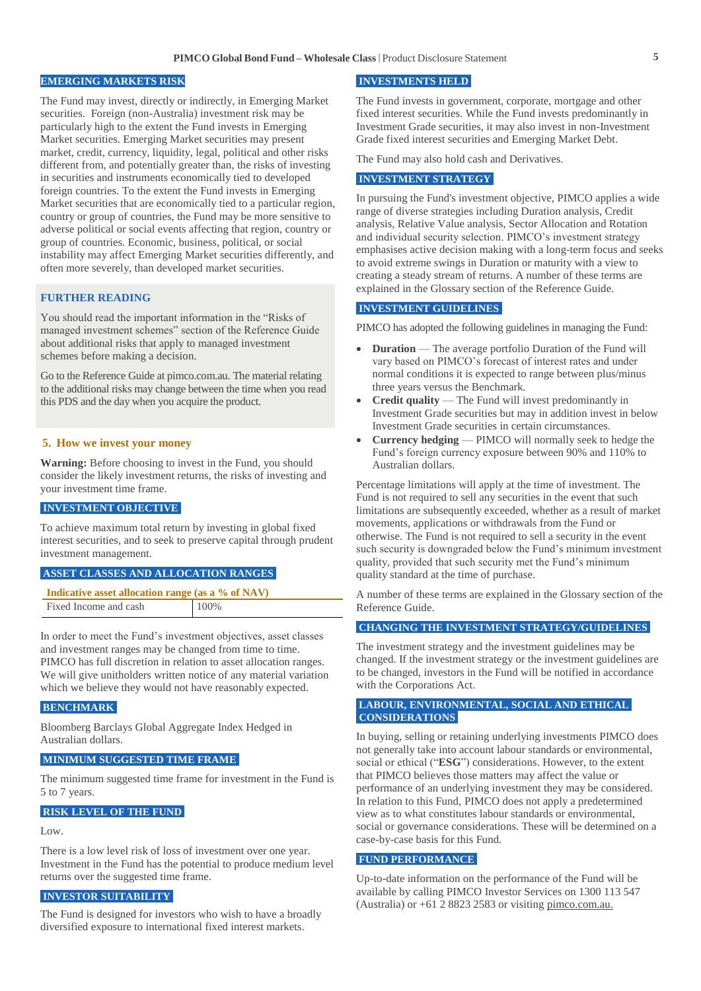#### **EMERGING MARKETS RISK**

The Fund may invest, directly or indirectly, in Emerging Market securities. Foreign (non-Australia) investment risk may be particularly high to the extent the Fund invests in Emerging Market securities. Emerging Market securities may present market, credit, currency, liquidity, legal, political and other risks different from, and potentially greater than, the risks of investing in securities and instruments economically tied to developed foreign countries. To the extent the Fund invests in Emerging Market securities that are economically tied to a particular region, country or group of countries, the Fund may be more sensitive to adverse political or social events affecting that region, country or group of countries. Economic, business, political, or social instability may affect Emerging Market securities differently, and often more severely, than developed market securities.

## **FURTHER READING**

You should read the important information in the "Risks of managed investment schemes" section of the Reference Guide about additional risks that apply to managed investment schemes before making a decision.

Go to the Reference Guide a[t pimco.com.au.](http://pimco.com.au/) The material relating to the additional risks may change between the time when you read this PDS and the day when you acquire the product.

## **5. How we invest your money**

**Warning:** Before choosing to invest in the Fund, you should consider the likely investment returns, the risks of investing and your investment time frame.

#### **INVESTMENT OBJECTIVE**

To achieve maximum total return by investing in global fixed interest securities, and to seek to preserve capital through prudent investment management.

## **ASSET CLASSES AND ALLOCATION RANGES**

| Indicative asset allocation range (as a % of NAV) |      |
|---------------------------------------------------|------|
| Fixed Income and cash                             | 100% |

In order to meet the Fund's investment objectives, asset classes and investment ranges may be changed from time to time. PIMCO has full discretion in relation to asset allocation ranges. We will give unitholders written notice of any material variation which we believe they would not have reasonably expected.

#### **BENCHMARK**

Bloomberg Barclays Global Aggregate Index Hedged in Australian dollars.

#### **MINIMUM SUGGESTED TIME FRAME**

The minimum suggested time frame for investment in the Fund is 5 to 7 years.

## **RISK LEVEL OF THE FUND**

Low.

There is a low level risk of loss of investment over one year. Investment in the Fund has the potential to produce medium level returns over the suggested time frame.

## **INVESTOR SUITABILITY**

The Fund is designed for investors who wish to have a broadly diversified exposure to international fixed interest markets.

## **INVESTMENTS HELD**

The Fund invests in government, corporate, mortgage and other fixed interest securities. While the Fund invests predominantly in Investment Grade securities, it may also invest in non-Investment Grade fixed interest securities and Emerging Market Debt.

The Fund may also hold cash and Derivatives.

## **INVESTMENT STRATEGY**

In pursuing the Fund's investment objective, PIMCO applies a wide range of diverse strategies including Duration analysis, Credit analysis, Relative Value analysis, Sector Allocation and Rotation and individual security selection. PIMCO's investment strategy emphasises active decision making with a long-term focus and seeks to avoid extreme swings in Duration or maturity with a view to creating a steady stream of returns. A number of these terms are explained in the Glossary section of the Reference Guide.

## **INVESTMENT GUIDELINES**

PIMCO has adopted the following guidelines in managing the Fund:

- **Duration** The average portfolio Duration of the Fund will vary based on PIMCO's forecast of interest rates and under normal conditions it is expected to range between plus/minus three years versus the Benchmark.
- **Credit quality** The Fund will invest predominantly in Investment Grade securities but may in addition invest in below Investment Grade securities in certain circumstances.
- **Currency hedging** PIMCO will normally seek to hedge the Fund's foreign currency exposure between 90% and 110% to Australian dollars.

Percentage limitations will apply at the time of investment. The Fund is not required to sell any securities in the event that such limitations are subsequently exceeded, whether as a result of market movements, applications or withdrawals from the Fund or otherwise. The Fund is not required to sell a security in the event such security is downgraded below the Fund's minimum investment quality, provided that such security met the Fund's minimum quality standard at the time of purchase.

A number of these terms are explained in the Glossary section of the Reference Guide.

#### **CHANGING THE INVESTMENT STRATEGY/GUIDELINES**

The investment strategy and the investment guidelines may be changed. If the investment strategy or the investment guidelines are to be changed, investors in the Fund will be notified in accordance with the Corporations Act.

## **LABOUR, ENVIRONMENTAL, SOCIAL AND ETHICAL CONSIDERATIONS**

In buying, selling or retaining underlying investments PIMCO does not generally take into account labour standards or environmental, social or ethical ("**ESG**") considerations. However, to the extent that PIMCO believes those matters may affect the value or performance of an underlying investment they may be considered. In relation to this Fund, PIMCO does not apply a predetermined view as to what constitutes labour standards or environmental, social or governance considerations. These will be determined on a case-by-case basis for this Fund.

## **FUND PERFORMANCE**

Up-to-date information on the performance of the Fund will be available by calling PIMCO Investor Services on 1300 113 547 (Australia) or  $+61$  2 8823 2583 or visitin[g pimco.com.au.](http://pimco.com.au/)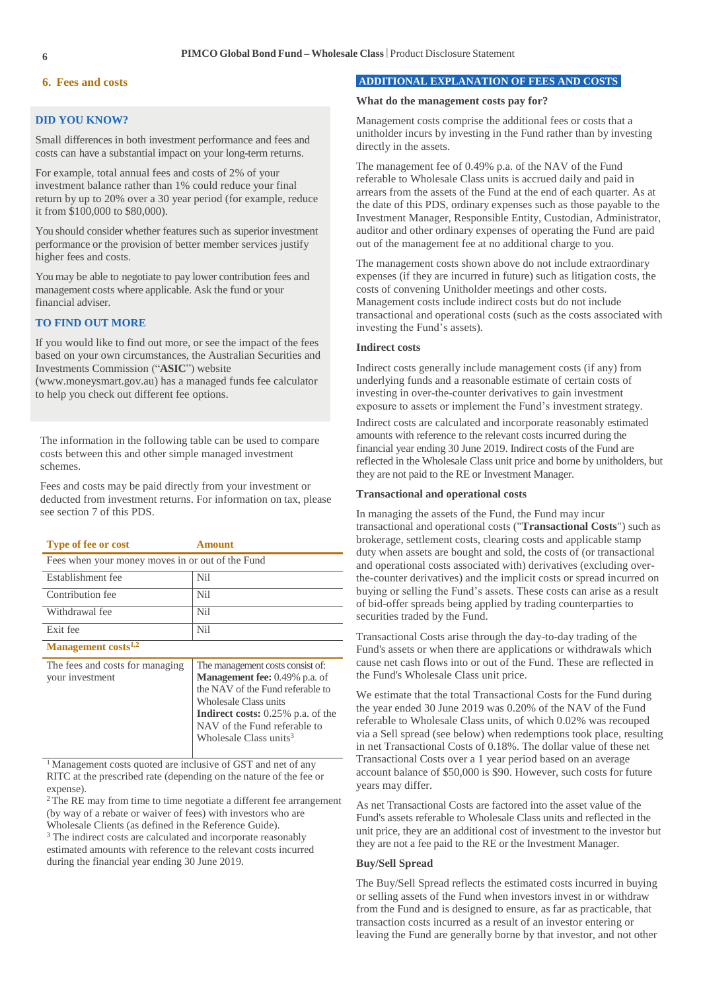## **6. Fees and costs**

## **DID YOU KNOW?**

Small differences in both investment performance and fees and costs can have a substantial impact on your long-term returns.

For example, total annual fees and costs of 2% of your investment balance rather than 1% could reduce your final return by up to 20% over a 30 year period (for example, reduce it from \$100,000 to \$80,000).

You should consider whether features such as superior investment performance or the provision of better member services justify higher fees and costs.

You may be able to negotiate to pay lower contribution fees and management costs where applicable. Ask the fund or your financial adviser.

## **TO FIND OUT MORE**

If you would like to find out more, or see the impact of the fees based on your own circumstances, the Australian Securities and Investments Commission ("**ASIC**") website

(www.moneysmart.gov.au) has a managed funds fee calculator to help you check out different fee options.

The information in the following table can be used to compare costs between this and other simple managed investment schemes.

Fees and costs may be paid directly from your investment or deducted from investment returns. For information on tax, please see section 7 of this PDS.

| <b>Type of fee or cost</b>                         | Amount                                                                                                                                                                                                               |  |
|----------------------------------------------------|----------------------------------------------------------------------------------------------------------------------------------------------------------------------------------------------------------------------|--|
| Fees when your money moves in or out of the Fund   |                                                                                                                                                                                                                      |  |
| Establishment fee                                  | Nil                                                                                                                                                                                                                  |  |
| Contribution fee                                   | Nil                                                                                                                                                                                                                  |  |
| Withdrawal fee                                     | Nil                                                                                                                                                                                                                  |  |
| Exit fee                                           | Nil                                                                                                                                                                                                                  |  |
| Management costs <sup>1,2</sup>                    |                                                                                                                                                                                                                      |  |
| The fees and costs for managing<br>your investment | The management costs consist of:<br><b>Management fee: 0.49% p.a. of</b><br>the NAV of the Fund referable to<br>Wholesale Class units<br><b>Indirect costs:</b> $0.25\%$ p.a. of the<br>NAV of the Fund referable to |  |

<sup>1</sup> Management costs quoted are inclusive of GST and net of any RITC at the prescribed rate (depending on the nature of the fee or expense).

Wholesale Class units<sup>3</sup>

<sup>2</sup> The RE may from time to time negotiate a different fee arrangement (by way of a rebate or waiver of fees) with investors who are Wholesale Clients (as defined in the Reference Guide).

<sup>3</sup> The indirect costs are calculated and incorporate reasonably estimated amounts with reference to the relevant costs incurred during the financial year ending 30 June 2019.

## **ADDITIONAL EXPLANATION OF FEES AND COSTS**

#### **What do the management costs pay for?**

Management costs comprise the additional fees or costs that a unitholder incurs by investing in the Fund rather than by investing directly in the assets.

The management fee of 0.49% p.a. of the NAV of the Fund referable to Wholesale Class units is accrued daily and paid in arrears from the assets of the Fund at the end of each quarter. As at the date of this PDS, ordinary expenses such as those payable to the Investment Manager, Responsible Entity, Custodian, Administrator, auditor and other ordinary expenses of operating the Fund are paid out of the management fee at no additional charge to you.

The management costs shown above do not include extraordinary expenses (if they are incurred in future) such as litigation costs, the costs of convening Unitholder meetings and other costs. Management costs include indirect costs but do not include transactional and operational costs (such as the costs associated with investing the Fund's assets).

## **Indirect costs**

Indirect costs generally include management costs (if any) from underlying funds and a reasonable estimate of certain costs of investing in over-the-counter derivatives to gain investment exposure to assets or implement the Fund's investment strategy.

Indirect costs are calculated and incorporate reasonably estimated amounts with reference to the relevant costs incurred during the financial year ending 30 June 2019. Indirect costs of the Fund are reflected in the Wholesale Class unit price and borne by unitholders, but they are not paid to the RE or Investment Manager.

## **Transactional and operational costs**

In managing the assets of the Fund, the Fund may incur transactional and operational costs ("**Transactional Costs**") such as brokerage, settlement costs, clearing costs and applicable stamp duty when assets are bought and sold, the costs of (or transactional and operational costs associated with) derivatives (excluding overthe-counter derivatives) and the implicit costs or spread incurred on buying or selling the Fund's assets. These costs can arise as a result of bid-offer spreads being applied by trading counterparties to securities traded by the Fund.

Transactional Costs arise through the day-to-day trading of the Fund's assets or when there are applications or withdrawals which cause net cash flows into or out of the Fund. These are reflected in the Fund's Wholesale Class unit price.

We estimate that the total Transactional Costs for the Fund during the year ended 30 June 2019 was 0.20% of the NAV of the Fund referable to Wholesale Class units, of which 0.02% was recouped via a Sell spread (see below) when redemptions took place, resulting in net Transactional Costs of 0.18%. The dollar value of these net Transactional Costs over a 1 year period based on an average account balance of \$50,000 is \$90. However, such costs for future years may differ.

As net Transactional Costs are factored into the asset value of the Fund's assets referable to Wholesale Class units and reflected in the unit price, they are an additional cost of investment to the investor but they are not a fee paid to the RE or the Investment Manager.

#### **Buy/Sell Spread**

The Buy/Sell Spread reflects the estimated costs incurred in buying or selling assets of the Fund when investors invest in or withdraw from the Fund and is designed to ensure, as far as practicable, that transaction costs incurred as a result of an investor entering or leaving the Fund are generally borne by that investor, and not other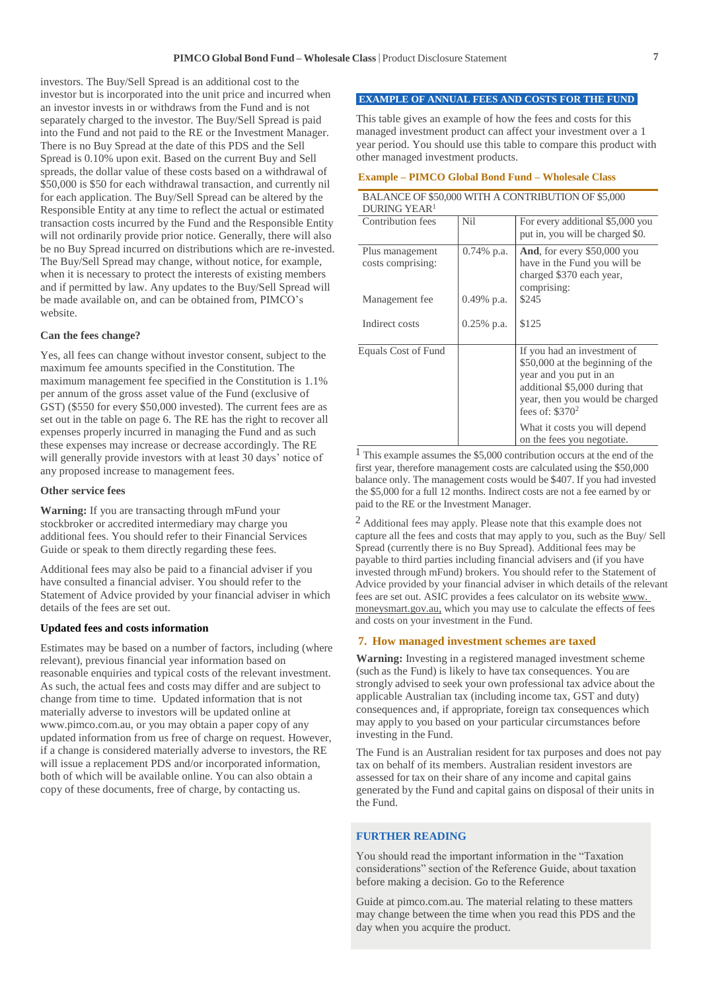investors. The Buy/Sell Spread is an additional cost to the investor but is incorporated into the unit price and incurred when an investor invests in or withdraws from the Fund and is not separately charged to the investor. The Buy/Sell Spread is paid into the Fund and not paid to the RE or the Investment Manager. There is no Buy Spread at the date of this PDS and the Sell Spread is 0.10% upon exit. Based on the current Buy and Sell spreads, the dollar value of these costs based on a withdrawal of \$50,000 is \$50 for each withdrawal transaction, and currently nil for each application. The Buy/Sell Spread can be altered by the Responsible Entity at any time to reflect the actual or estimated transaction costs incurred by the Fund and the Responsible Entity will not ordinarily provide prior notice. Generally, there will also be no Buy Spread incurred on distributions which are re-invested. The Buy/Sell Spread may change, without notice, for example, when it is necessary to protect the interests of existing members and if permitted by law. Any updates to the Buy/Sell Spread will be made available on, and can be obtained from, PIMCO's website.

### **Can the fees change?**

Yes, all fees can change without investor consent, subject to the maximum fee amounts specified in the Constitution. The maximum management fee specified in the Constitution is 1.1% per annum of the gross asset value of the Fund (exclusive of GST) (\$550 for every \$50,000 invested). The current fees are as set out in the table on page 6. The RE has the right to recover all expenses properly incurred in managing the Fund and as such these expenses may increase or decrease accordingly. The RE will generally provide investors with at least 30 days' notice of any proposed increase to management fees.

#### **Other service fees**

**Warning:** If you are transacting through mFund your stockbroker or accredited intermediary may charge you additional fees. You should refer to their Financial Services Guide or speak to them directly regarding these fees.

Additional fees may also be paid to a financial adviser if you have consulted a financial adviser. You should refer to the Statement of Advice provided by your financial adviser in which details of the fees are set out.

### **Updated fees and costs information**

Estimates may be based on a number of factors, including (where relevant), previous financial year information based on reasonable enquiries and typical costs of the relevant investment. As such, the actual fees and costs may differ and are subject to change from time to time. Updated information that is not materially adverse to investors will be updated online at [www.pimco.com.au,](http://www.pimco.com.au/) or you may obtain a paper copy of any updated information from us free of charge on request. However, if a change is considered materially adverse to investors, the RE will issue a replacement PDS and/or incorporated information, both of which will be available online. You can also obtain a copy of these documents, free of charge, by contacting us.

## **EXAMPLE OF ANNUAL FEES AND COSTS FOR THE FUND**

This table gives an example of how the fees and costs for this managed investment product can affect your investment over a 1 year period. You should use this table to compare this product with other managed investment products.

### **Example – PIMCO Global Bond Fund – Wholesale Class**

|                                      |               | BALANCE OF \$50,000 WITH A CONTRIBUTION OF \$5,000                                                                                                                                 |
|--------------------------------------|---------------|------------------------------------------------------------------------------------------------------------------------------------------------------------------------------------|
| DURING YEAR <sup>1</sup>             |               |                                                                                                                                                                                    |
| Contribution fees                    | <b>Nil</b>    | For every additional \$5,000 you<br>put in, you will be charged \$0.                                                                                                               |
| Plus management<br>costs comprising: | $0.74\%$ p.a. | And, for every \$50,000 you<br>have in the Fund you will be<br>charged \$370 each year,<br>comprising:                                                                             |
| Management fee                       | $0.49\%$ p.a. | \$245                                                                                                                                                                              |
| Indirect costs                       | $0.25%$ p.a.  | \$125                                                                                                                                                                              |
| Equals Cost of Fund                  |               | If you had an investment of<br>\$50,000 at the beginning of the<br>year and you put in an<br>additional \$5,000 during that<br>year, then you would be charged<br>fees of: $$3702$ |
|                                      |               | What it costs you will depend<br>on the fees you negotiate.                                                                                                                        |

<sup>1</sup> This example assumes the \$5,000 contribution occurs at the end of the first year, therefore management costs are calculated using the \$50,000 balance only. The management costs would be \$407. If you had invested the \$5,000 for a full 12 months. Indirect costs are not a fee earned by or paid to the RE or the Investment Manager.

 $<sup>2</sup>$  Additional fees may apply. Please note that this example does not</sup> capture all the fees and costs that may apply to you, such as the Buy/ Sell Spread (currently there is no Buy Spread). Additional fees may be payable to third parties including financial advisers and (if you have invested through mFund) brokers. You should refer to the Statement of Advice provided by your financial adviser in which details of the relevant fees are set out. ASIC provides a fees calculator on its website [www.](http://www.moneysmart.gov.au/) [moneysmart.gov.au,](http://www.moneysmart.gov.au/) which you may use to calculate the effects of fees and costs on your investment in the Fund.

#### **7. How managed investment schemes are taxed**

**Warning:** Investing in a registered managed investment scheme (such as the Fund) is likely to have tax consequences. You are strongly advised to seek your own professional tax advice about the applicable Australian tax (including income tax, GST and duty) consequences and, if appropriate, foreign tax consequences which may apply to you based on your particular circumstances before investing in the Fund.

The Fund is an Australian resident for tax purposes and does not pay tax on behalf of its members. Australian resident investors are assessed for tax on their share of any income and capital gains generated by the Fund and capital gains on disposal of their units in the Fund.

## **FURTHER READING**

You should read the important information in the "Taxation considerations" section of the Reference Guide, about taxation before making a decision. Go to the Reference

Guide a[t pimco.com.au.](http://pimco.com.au/) The material relating to these matters may change between the time when you read this PDS and the day when you acquire the product.